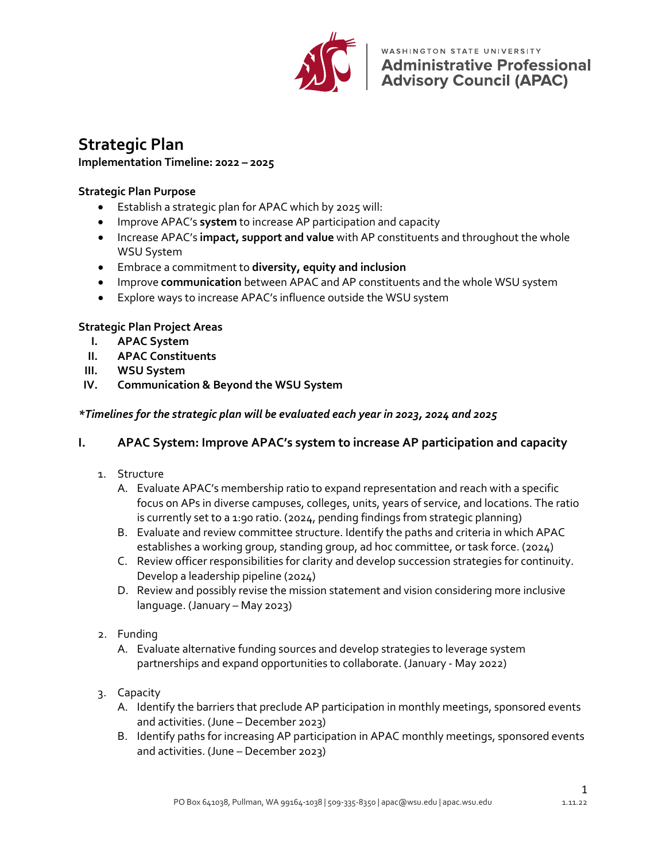

WASHINGTON STATE UNIVERSITY **Administrative Professional<br>Advisory Council (APAC)** 

# **Strategic Plan**

#### **Implementation Timeline: 2022 – 2025**

### **Strategic Plan Purpose**

- Establish a strategic plan for APAC which by 2025 will:
- Improve APAC's **system** to increase AP participation and capacity
- Increase APAC's **impact, support and value** with AP constituents and throughout the whole WSU System
- Embrace a commitment to **diversity, equity and inclusion**
- Improve **communication** between APAC and AP constituents and the whole WSU system
- Explore ways to increase APAC's influence outside the WSU system

### **Strategic Plan Project Areas**

- **I. APAC System**
- **II. APAC Constituents**
- **III. WSU System**
- **IV. Communication & Beyond the WSU System**

### *\*Timelines for the strategic plan will be evaluated each year in 2023, 2024 and 2025*

## **I. APAC System: Improve APAC's system to increase AP participation and capacity**

- 1. Structure
	- A. Evaluate APAC's membership ratio to expand representation and reach with a specific focus on APs in diverse campuses, colleges, units, years of service, and locations. The ratio is currently set to a 1:90 ratio. (2024, pending findings from strategic planning)
	- B. Evaluate and review committee structure. Identify the paths and criteria in which APAC establishes a working group, standing group, ad hoc committee, or task force. (2024)
	- C. Review officer responsibilities for clarity and develop succession strategies for continuity. Develop a leadership pipeline (2024)
	- D. Review and possibly revise the mission statement and vision considering more inclusive language. (January – May 2023)
- 2. Funding
	- A. Evaluate alternative funding sources and develop strategies to leverage system partnerships and expand opportunities to collaborate. (January - May 2022)
- 3. Capacity
	- A. Identify the barriers that preclude AP participation in monthly meetings, sponsored events and activities. (June – December 2023)
	- B. Identify paths for increasing AP participation in APAC monthly meetings, sponsored events and activities. (June – December 2023)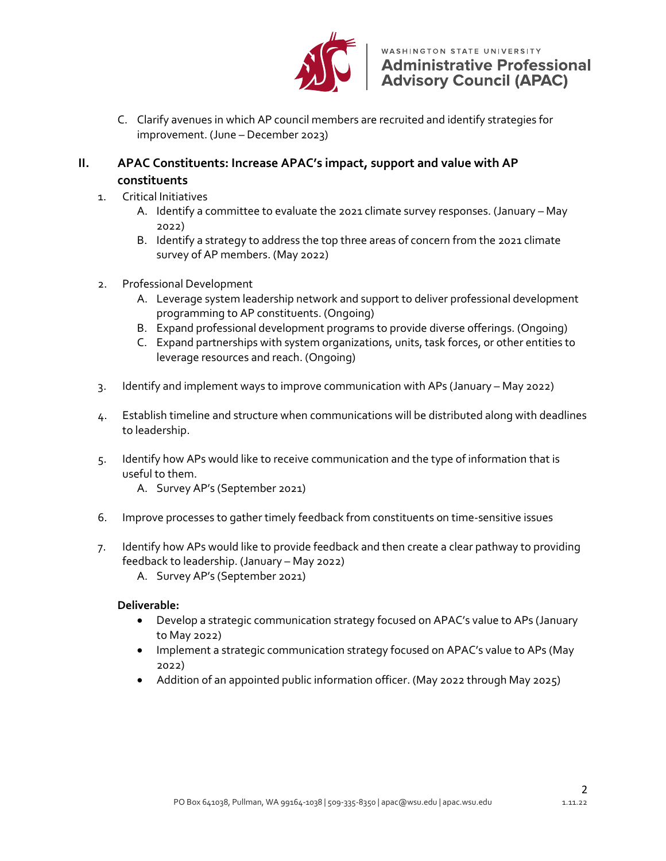

C. Clarify avenues in which AP council members are recruited and identify strategies for improvement. (June – December 2023)

### **II. APAC Constituents: Increase APAC's impact, support and value with AP constituents**

- 1. Critical Initiatives
	- A. Identify a committee to evaluate the 2021 climate survey responses. (January May 2022)
	- B. Identify a strategy to address the top three areas of concern from the 2021 climate survey of AP members. (May 2022)
- 2. Professional Development
	- A. Leverage system leadership network and support to deliver professional development programming to AP constituents. (Ongoing)
	- B. Expand professional development programs to provide diverse offerings. (Ongoing)
	- C. Expand partnerships with system organizations, units, task forces, or other entities to leverage resources and reach. (Ongoing)
- 3. Identify and implement ways to improve communication with APs (January May 2022)
- 4. Establish timeline and structure when communications will be distributed along with deadlines to leadership.
- 5. Identify how APs would like to receive communication and the type of information that is useful to them.
	- A. Survey AP's (September 2021)
- 6. Improve processes to gather timely feedback from constituents on time-sensitive issues
- 7. Identify how APs would like to provide feedback and then create a clear pathway to providing feedback to leadership. (January – May 2022)
	- A. Survey AP's (September 2021)

## **Deliverable:**

- Develop a strategic communication strategy focused on APAC's value to APs (January to May 2022)
- Implement a strategic communication strategy focused on APAC's value to APs (May 2022)
- Addition of an appointed public information officer. (May 2022 through May 2025)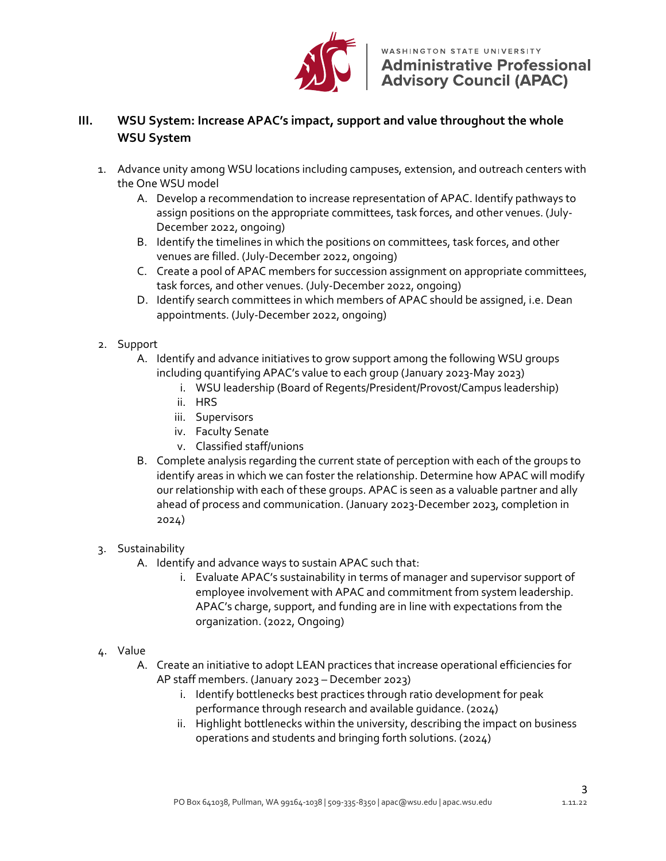

## **III. WSU System: Increase APAC's impact, support and value throughout the whole WSU System**

- 1. Advance unity among WSU locations including campuses, extension, and outreach centers with the One WSU model
	- A. Develop a recommendation to increase representation of APAC. Identify pathways to assign positions on the appropriate committees, task forces, and other venues. (July-December 2022, ongoing)
	- B. Identify the timelines in which the positions on committees, task forces, and other venues are filled. (July-December 2022, ongoing)
	- C. Create a pool of APAC members for succession assignment on appropriate committees, task forces, and other venues. (July-December 2022, ongoing)
	- D. Identify search committees in which members of APAC should be assigned, i.e. Dean appointments. (July-December 2022, ongoing)
- 2. Support
	- A. Identify and advance initiatives to grow support among the following WSU groups including quantifying APAC's value to each group (January 2023-May 2023)
		- i. WSU leadership (Board of Regents/President/Provost/Campus leadership)
		- ii. HRS
		- iii. Supervisors
		- iv. Faculty Senate
		- v. Classified staff/unions
	- B. Complete analysis regarding the current state of perception with each of the groups to identify areas in which we can foster the relationship. Determine how APAC will modify our relationship with each of these groups. APAC is seen as a valuable partner and ally ahead of process and communication. (January 2023-December 2023, completion in 2024)

## 3. Sustainability

- A. Identify and advance ways to sustain APAC such that:
	- i. Evaluate APAC's sustainability in terms of manager and supervisor support of employee involvement with APAC and commitment from system leadership. APAC's charge, support, and funding are in line with expectations from the organization. (2022, Ongoing)
- 4. Value
	- A. Create an initiative to adopt LEAN practices that increase operational efficiencies for AP staff members. (January 2023 – December 2023)
		- i. Identify bottlenecks best practices through ratio development for peak performance through research and available guidance. (2024)
		- ii. Highlight bottlenecks within the university, describing the impact on business operations and students and bringing forth solutions. (2024)